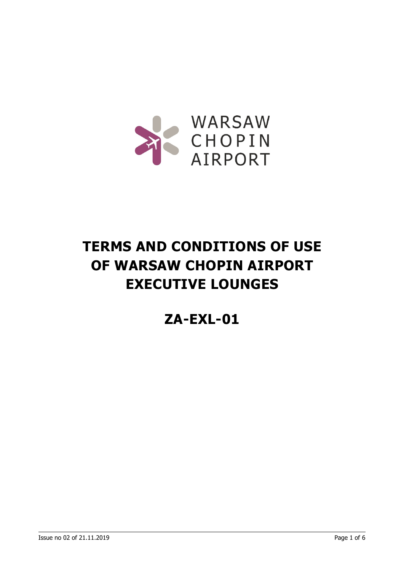

# **TERMS AND CONDITIONS OF USE OF WARSAW CHOPIN AIRPORT EXECUTIVE LOUNGES**

# **ZA-EXL-01**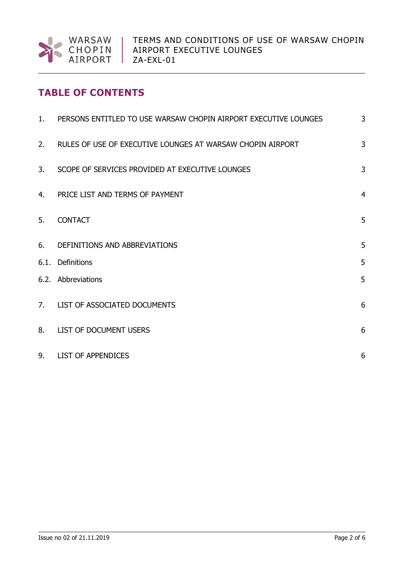

# **TABLE OF CONTENTS**

| 1. | PERSONS ENTITLED TO USE WARSAW CHOPIN AIRPORT EXECUTIVE LOUNGES | 3               |
|----|-----------------------------------------------------------------|-----------------|
| 2. | RULES OF USE OF EXECUTIVE LOUNGES AT WARSAW CHOPIN AIRPORT      | 3               |
| 3. | SCOPE OF SERVICES PROVIDED AT EXECUTIVE LOUNGES                 | 3               |
| 4. | PRICE LIST AND TERMS OF PAYMENT                                 | $\overline{4}$  |
| 5. | <b>CONTACT</b>                                                  | 5               |
| 6. | DEFINITIONS AND ABBREVIATIONS                                   | 5               |
|    | 6.1. Definitions                                                | 5               |
|    | 6.2. Abbreviations                                              | 5               |
|    | 7. LIST OF ASSOCIATED DOCUMENTS                                 | 6               |
| 8. | LIST OF DOCUMENT USERS                                          | $6\phantom{1}6$ |
| 9. | <b>LIST OF APPENDICES</b>                                       | 6               |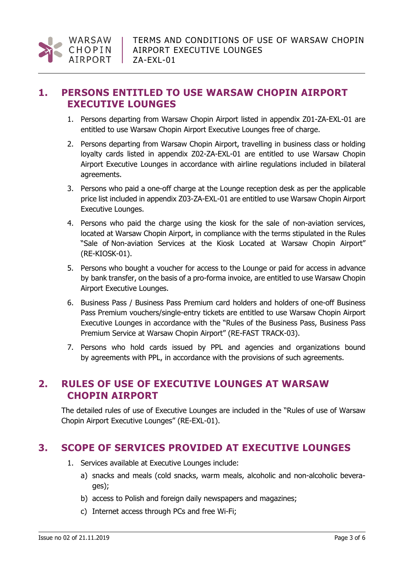#### **1. PERSONS ENTITLED TO USE WARSAW CHOPIN AIRPORT EXECUTIVE LOUNGES**

- 1. Persons departing from Warsaw Chopin Airport listed in appendix Z01-ZA-EXL-01 are entitled to use Warsaw Chopin Airport Executive Lounges free of charge.
- 2. Persons departing from Warsaw Chopin Airport, travelling in business class or holding loyalty cards listed in appendix Z02-ZA-EXL-01 are entitled to use Warsaw Chopin Airport Executive Lounges in accordance with airline regulations included in bilateral agreements.
- 3. Persons who paid a one-off charge at the Lounge reception desk as per the applicable price list included in appendix Z03-ZA-EXL-01 are entitled to use Warsaw Chopin Airport Executive Lounges.
- 4. Persons who paid the charge using the kiosk for the sale of non-aviation services, located at Warsaw Chopin Airport, in compliance with the terms stipulated in the Rules "Sale of Non-aviation Services at the Kiosk Located at Warsaw Chopin Airport" (RE-KIOSK-01).
- 5. Persons who bought a voucher for access to the Lounge or paid for access in advance by bank transfer, on the basis of a pro-forma invoice, are entitled to use Warsaw Chopin Airport Executive Lounges.
- 6. Business Pass / Business Pass Premium card holders and holders of one-off Business Pass Premium vouchers/single-entry tickets are entitled to use Warsaw Chopin Airport Executive Lounges in accordance with the "Rules of the Business Pass, Business Pass Premium Service at Warsaw Chopin Airport" (RE-FAST TRACK-03).
- 7. Persons who hold cards issued by PPL and agencies and organizations bound by agreements with PPL, in accordance with the provisions of such agreements.

# **2. RULES OF USE OF EXECUTIVE LOUNGES AT WARSAW CHOPIN AIRPORT**

The detailed rules of use of Executive Lounges are included in the "Rules of use of Warsaw Chopin Airport Executive Lounges" (RE-EXL-01).

#### **3. SCOPE OF SERVICES PROVIDED AT EXECUTIVE LOUNGES**

- 1. Services available at Executive Lounges include:
	- a) snacks and meals (cold snacks, warm meals, alcoholic and non-alcoholic beverages);
	- b) access to Polish and foreign daily newspapers and magazines;
	- c) Internet access through PCs and free Wi-Fi;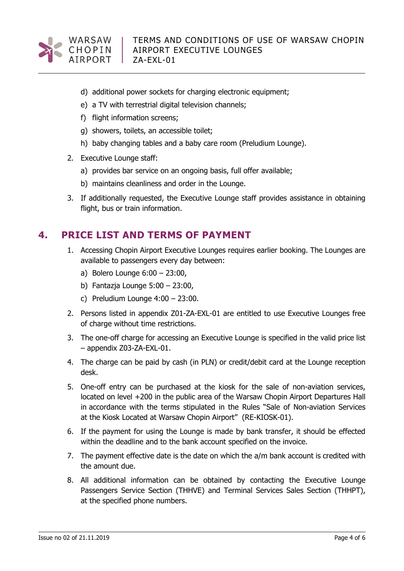

- d) additional power sockets for charging electronic equipment;
- e) a TV with terrestrial digital television channels;
- f) flight information screens;
- g) showers, toilets, an accessible toilet;
- h) baby changing tables and a baby care room (Preludium Lounge).
- 2. Executive Lounge staff:
	- a) provides bar service on an ongoing basis, full offer available;
	- b) maintains cleanliness and order in the Lounge.
- 3. If additionally requested, the Executive Lounge staff provides assistance in obtaining flight, bus or train information.

# **4. PRICE LIST AND TERMS OF PAYMENT**

- 1. Accessing Chopin Airport Executive Lounges requires earlier booking. The Lounges are available to passengers every day between:
	- a) Bolero Lounge 6:00 23:00,
	- b) Fantazja Lounge 5:00 23:00,
	- c) Preludium Lounge 4:00 23:00.
- 2. Persons listed in appendix Z01-ZA-EXL-01 are entitled to use Executive Lounges free of charge without time restrictions.
- 3. The one-off charge for accessing an Executive Lounge is specified in the valid price list – appendix Z03-ZA-EXL-01.
- 4. The charge can be paid by cash (in PLN) or credit/debit card at the Lounge reception desk.
- 5. One-off entry can be purchased at the kiosk for the sale of non-aviation services, located on level +200 in the public area of the Warsaw Chopin Airport Departures Hall in accordance with the terms stipulated in the Rules "Sale of Non-aviation Services at the Kiosk Located at Warsaw Chopin Airport" (RE-KIOSK-01).
- 6. If the payment for using the Lounge is made by bank transfer, it should be effected within the deadline and to the bank account specified on the invoice.
- 7. The payment effective date is the date on which the a/m bank account is credited with the amount due.
- 8. All additional information can be obtained by contacting the Executive Lounge Passengers Service Section (THHVE) and Terminal Services Sales Section (THHPT), at the specified phone numbers.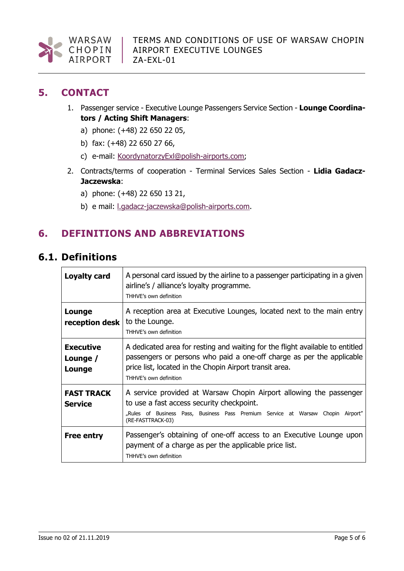

# **5. CONTACT**

- 1. Passenger service Executive Lounge Passengers Service Section **Lounge Coordinators / Acting Shift Managers**:
	- a) phone: (+48) 22 650 22 05,
	- b) fax: (+48) 22 650 27 66,
	- c) e-mail: [KoordynatorzyExl@polish-airports.com;](mailto:KoordynatorzyExl@polish-airports.com)
- 2. Contracts/terms of cooperation Terminal Services Sales Section **Lidia Gadacz-Jaczewska**:
	- a) phone: (+48) 22 650 13 21,
	- b) e mail: [l.gadacz-jaczewska@polish-airports.com.](mailto:l.gadacz-jaczewska@polish-airports.com)

# **6. DEFINITIONS AND ABBREVIATIONS**

# **6.1. Definitions**

| Loyalty card                           | A personal card issued by the airline to a passenger participating in a given<br>airline's / alliance's loyalty programme.<br>THHVE's own definition                                                                                        |  |
|----------------------------------------|---------------------------------------------------------------------------------------------------------------------------------------------------------------------------------------------------------------------------------------------|--|
| Lounge<br>reception desk               | A reception area at Executive Lounges, located next to the main entry<br>to the Lounge.<br>THHVE's own definition                                                                                                                           |  |
| <b>Executive</b><br>Lounge /<br>Lounge | A dedicated area for resting and waiting for the flight available to entitled<br>passengers or persons who paid a one-off charge as per the applicable<br>price list, located in the Chopin Airport transit area.<br>THHVE's own definition |  |
| <b>FAST TRACK</b><br><b>Service</b>    | A service provided at Warsaw Chopin Airport allowing the passenger<br>to use a fast access security checkpoint.<br>"Rules of Business Pass, Business Pass Premium Service at Warsaw Chopin Airport"<br>(RE-FASTTRACK-03)                    |  |
| <b>Free entry</b>                      | Passenger's obtaining of one-off access to an Executive Lounge upon<br>payment of a charge as per the applicable price list.<br>THHVE's own definition                                                                                      |  |